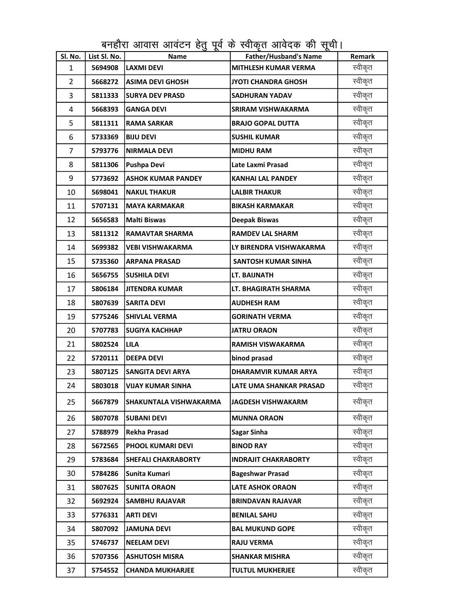| Sl. No.        | List Sl. No. | <u>ັບ ດ</u><br>Name       | ີ<br><b>Father/Husband's Name</b> | Remark  |
|----------------|--------------|---------------------------|-----------------------------------|---------|
| $\mathbf{1}$   | 5694908      | <b>LAXMI DEVI</b>         | <b>MITHLESH KUMAR VERMA</b>       | स्वीकृत |
| 2              | 5668272      | <b>ASIMA DEVI GHOSH</b>   | JYOTI CHANDRA GHOSH               | स्वीकृत |
| 3              | 5811333      | <b>SURYA DEV PRASD</b>    | <b>SADHURAN YADAV</b>             | स्वीकृत |
| 4              | 5668393      | <b>GANGA DEVI</b>         | <b>SRIRAM VISHWAKARMA</b>         | स्वीकृत |
| 5              | 5811311      | <b>RAMA SARKAR</b>        | <b>BRAJO GOPAL DUTTA</b>          | स्वीकृत |
| 6              | 5733369      | <b>BIJU DEVI</b>          | <b>SUSHIL KUMAR</b>               | स्वीकृत |
| $\overline{7}$ | 5793776      | <b>NIRMALA DEVI</b>       | <b>MIDHU RAM</b>                  | स्वीकृत |
| 8              | 5811306      | <b>Pushpa Devi</b>        | Late Laxmi Prasad                 | स्वीकृत |
| 9              | 5773692      | <b>ASHOK KUMAR PANDEY</b> | <b>KANHAI LAL PANDEY</b>          | स्वीकृत |
| 10             | 5698041      | <b>NAKUL THAKUR</b>       | <b>LALBIR THAKUR</b>              | स्वीकृत |
| 11             | 5707131      | <b>MAYA KARMAKAR</b>      | <b>BIKASH KARMAKAR</b>            | स्वीकृत |
| 12             | 5656583      | <b>Malti Biswas</b>       | Deepak Biswas                     | स्वीकृत |
| 13             | 5811312      | <b>RAMAVTAR SHARMA</b>    | <b>RAMDEV LAL SHARM</b>           | स्वीकृत |
| 14             | 5699382      | <b>VEBI VISHWAKARMA</b>   | LY BIRENDRA VISHWAKARMA           | स्वीकृत |
| 15             | 5735360      | <b>ARPANA PRASAD</b>      | <b>SANTOSH KUMAR SINHA</b>        | स्वीकृत |
| 16             | 5656755      | <b>SUSHILA DEVI</b>       | LT. BAIJNATH                      | स्वीकृत |
| 17             | 5806184      | <b>JITENDRA KUMAR</b>     | LT. BHAGIRATH SHARMA              | स्वीकृत |
| 18             | 5807639      | <b>SARITA DEVI</b>        | AUDHESH RAM                       | स्वीकृत |
| 19             | 5775246      | <b>SHIVLAL VERMA</b>      | <b>GORINATH VERMA</b>             | स्वीकृत |
| 20             | 5707783      | <b>SUGIYA KACHHAP</b>     | <b>JATRU ORAON</b>                | स्वीकृत |
| 21             | 5802524      | <b>LILA</b>               | <b>RAMISH VISWAKARMA</b>          | स्वीकृत |
| 22             | 5720111      | <b>DEEPA DEVI</b>         | binod prasad                      | स्वीकृत |
| 23             | 5807125      | <b>SANGITA DEVI ARYA</b>  | <b>DHARAMVIR KUMAR ARYA</b>       | स्वीकृत |
| 24             | 5803018      | <b>VIJAY KUMAR SINHA</b>  | LATE UMA SHANKAR PRASAD           | स्वीकृत |
| 25             | 5667879      | SHAKUNTALA VISHWAKARMA    | <b>JAGDESH VISHWAKARM</b>         | स्वीकृत |
| 26             | 5807078      | <b>SUBANI DEVI</b>        | <b>MUNNA ORAON</b>                | स्वीकृत |
| 27             | 5788979      | <b>Rekha Prasad</b>       | <b>Sagar Sinha</b>                | स्वीकृत |
| 28             | 5672565      | PHOOL KUMARI DEVI         | <b>BINOD RAY</b>                  | स्वीकृत |
| 29             | 5783684      | SHEFALI CHAKRABORTY       | <b>INDRAJIT CHAKRABORTY</b>       | स्वीकृत |
| 30             | 5784286      | Sunita Kumari             | <b>Bageshwar Prasad</b>           | स्वीकृत |
| 31             | 5807625      | <b>SUNITA ORAON</b>       | <b>LATE ASHOK ORAON</b>           | स्वीकृत |
| 32             | 5692924      | <b>SAMBHU RAJAVAR</b>     | <b>BRINDAVAN RAJAVAR</b>          | स्वीकृत |
| 33             | 5776331      | <b>ARTI DEVI</b>          | <b>BENILAL SAHU</b>               | स्वीकृत |
| 34             | 5807092      | <b>JAMUNA DEVI</b>        | <b>BAL MUKUND GOPE</b>            | स्वीकृत |
| 35             | 5746737      | <b>NEELAM DEVI</b>        | <b>RAJU VERMA</b>                 | स्वीकृत |
| 36             | 5707356      | <b>ASHUTOSH MISRA</b>     | <b>SHANKAR MISHRA</b>             | स्वीकृत |
| 37             | 5754552      | <b>CHANDA MUKHARJEE</b>   | <b>TULTUL MUKHERJEE</b>           | स्वीकृत |

बनहौरा आवास आवंटन हेतु पूर्व के स्वीकृत आवेदक की सूची।